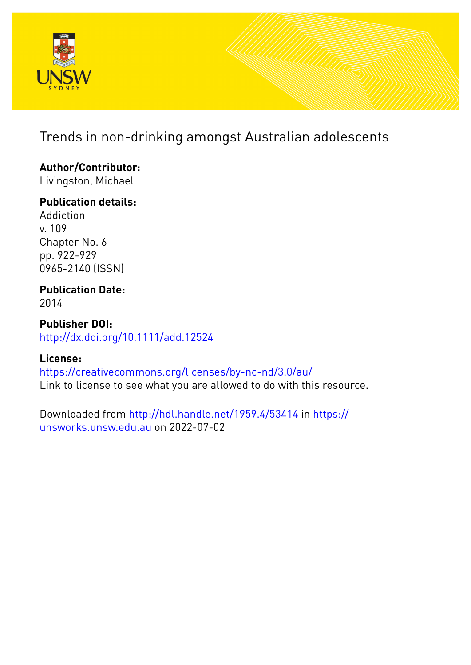

# Trends in non-drinking amongst Australian adolescents

## **Author/Contributor:**

Livingston, Michael

## **Publication details:**

Addiction v. 109 Chapter No. 6 pp. 922-929 0965-2140 (ISSN)

## **Publication Date:** 2014

**Publisher DOI:** [http://dx.doi.org/10.1111/add.12524](http://dx.doi.org/http://dx.doi.org/10.1111/add.12524)

## **License:**

<https://creativecommons.org/licenses/by-nc-nd/3.0/au/> Link to license to see what you are allowed to do with this resource.

Downloaded from <http://hdl.handle.net/1959.4/53414> in [https://](https://unsworks.unsw.edu.au) [unsworks.unsw.edu.au](https://unsworks.unsw.edu.au) on 2022-07-02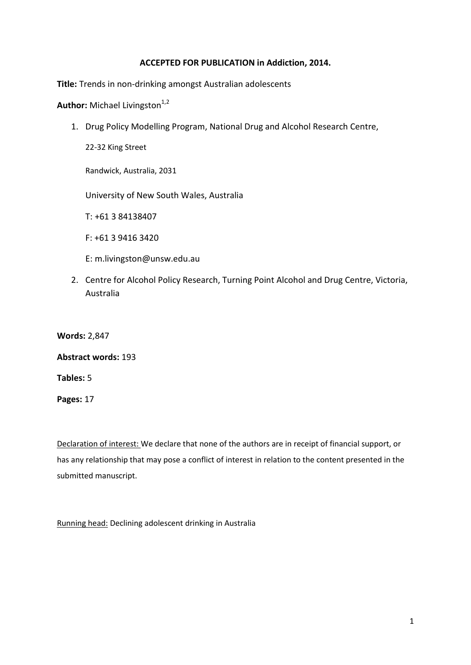## **ACCEPTED FOR PUBLICATION in Addiction, 2014.**

**Title:** Trends in non-drinking amongst Australian adolescents

Author: Michael Livingston<sup>1,2</sup>

1. Drug Policy Modelling Program, National Drug and Alcohol Research Centre,

22-32 King Street

Randwick, Australia, 2031

University of New South Wales, Australia

T: +61 3 84138407

F: +61 3 9416 3420

E: m.livingston@unsw.edu.au

2. Centre for Alcohol Policy Research, Turning Point Alcohol and Drug Centre, Victoria, Australia

**Words:** 2,847

### **Abstract words:** 193

**Tables:** 5

**Pages:** 17

Declaration of interest: We declare that none of the authors are in receipt of financial support, or has any relationship that may pose a conflict of interest in relation to the content presented in the submitted manuscript.

Running head: Declining adolescent drinking in Australia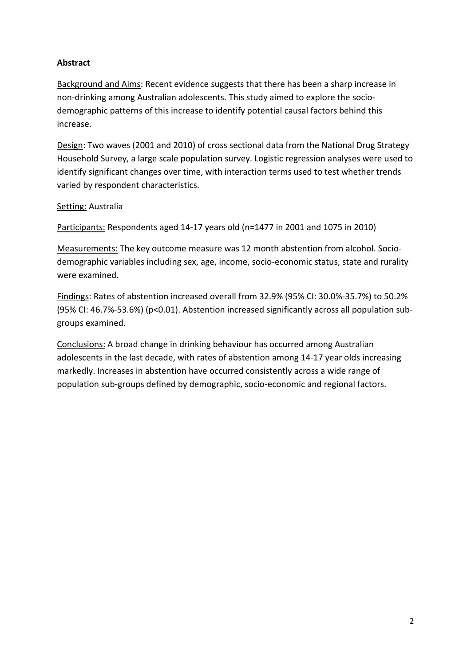## **Abstract**

Background and Aims: Recent evidence suggests that there has been a sharp increase in non-drinking among Australian adolescents. This study aimed to explore the sociodemographic patterns of this increase to identify potential causal factors behind this increase.

Design: Two waves (2001 and 2010) of cross sectional data from the National Drug Strategy Household Survey, a large scale population survey. Logistic regression analyses were used to identify significant changes over time, with interaction terms used to test whether trends varied by respondent characteristics.

## Setting: Australia

Participants: Respondents aged 14-17 years old (n=1477 in 2001 and 1075 in 2010)

Measurements: The key outcome measure was 12 month abstention from alcohol. Sociodemographic variables including sex, age, income, socio-economic status, state and rurality were examined.

Findings: Rates of abstention increased overall from 32.9% (95% CI: 30.0%-35.7%) to 50.2% (95% CI: 46.7%-53.6%) (p<0.01). Abstention increased significantly across all population subgroups examined.

Conclusions: A broad change in drinking behaviour has occurred among Australian adolescents in the last decade, with rates of abstention among 14-17 year olds increasing markedly. Increases in abstention have occurred consistently across a wide range of population sub-groups defined by demographic, socio-economic and regional factors.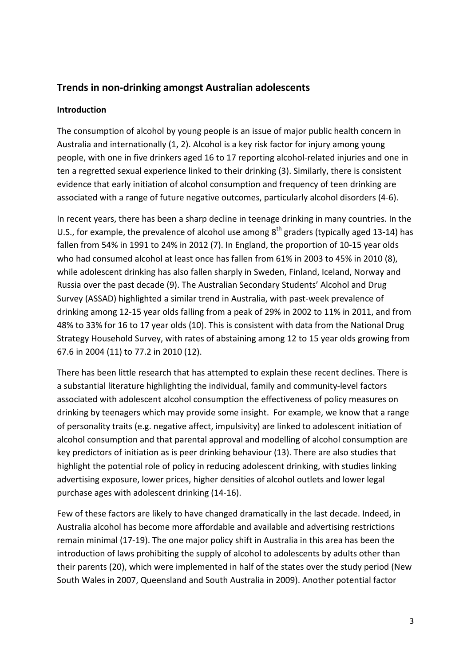## **Trends in non-drinking amongst Australian adolescents**

## **Introduction**

The consumption of alcohol by young people is an issue of major public health concern in Australia and internationally [\(1,](#page-15-0) [2\)](#page-15-1). Alcohol is a key risk factor for injury among young people, with one in five drinkers aged 16 to 17 reporting alcohol-related injuries and one in ten a regretted sexual experience linked to their drinking [\(3\)](#page-15-2). Similarly, there is consistent evidence that early initiation of alcohol consumption and frequency of teen drinking are associated with a range of future negative outcomes, particularly alcohol disorders [\(4-6\)](#page-15-3).

In recent years, there has been a sharp decline in teenage drinking in many countries. In the U.S., for example, the prevalence of alcohol use among  $8<sup>th</sup>$  graders (typically aged 13-14) has fallen from 54% in 1991 to 24% in 2012 [\(7\)](#page-15-4). In England, the proportion of 10-15 year olds who had consumed alcohol at least once has fallen from 61% in 2003 to 45% in 2010 [\(8\)](#page-15-5), while adolescent drinking has also fallen sharply in Sweden, Finland, Iceland, Norway and Russia over the past decade [\(9\)](#page-15-6). The Australian Secondary Students' Alcohol and Drug Survey (ASSAD) highlighted a similar trend in Australia, with past-week prevalence of drinking among 12-15 year olds falling from a peak of 29% in 2002 to 11% in 2011, and from 48% to 33% for 16 to 17 year olds [\(10\)](#page-15-7). This is consistent with data from the National Drug Strategy Household Survey, with rates of abstaining among 12 to 15 year olds growing from 67.6 in 2004 [\(11\)](#page-15-8) to 77.2 in 2010 [\(12\)](#page-15-9).

There has been little research that has attempted to explain these recent declines. There is a substantial literature highlighting the individual, family and community-level factors associated with adolescent alcohol consumption the effectiveness of policy measures on drinking by teenagers which may provide some insight. For example, we know that a range of personality traits (e.g. negative affect, impulsivity) are linked to adolescent initiation of alcohol consumption and that parental approval and modelling of alcohol consumption are key predictors of initiation as is peer drinking behaviour [\(13\)](#page-15-10). There are also studies that highlight the potential role of policy in reducing adolescent drinking, with studies linking advertising exposure, lower prices, higher densities of alcohol outlets and lower legal purchase ages with adolescent drinking [\(14-16\)](#page-15-11).

Few of these factors are likely to have changed dramatically in the last decade. Indeed, in Australia alcohol has become more affordable and available and advertising restrictions remain minimal [\(17-19\)](#page-15-12). The one major policy shift in Australia in this area has been the introduction of laws prohibiting the supply of alcohol to adolescents by adults other than their parents [\(20\)](#page-16-0), which were implemented in half of the states over the study period (New South Wales in 2007, Queensland and South Australia in 2009). Another potential factor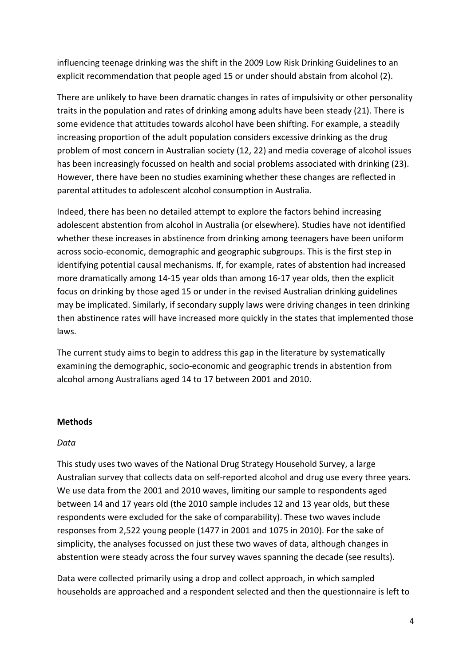influencing teenage drinking was the shift in the 2009 Low Risk Drinking Guidelines to an explicit recommendation that people aged 15 or under should abstain from alcohol [\(2\)](#page-15-1).

There are unlikely to have been dramatic changes in rates of impulsivity or other personality traits in the population and rates of drinking among adults have been steady [\(21\)](#page-16-1). There is some evidence that attitudes towards alcohol have been shifting. For example, a steadily increasing proportion of the adult population considers excessive drinking as the drug problem of most concern in Australian society [\(12,](#page-15-9) [22\)](#page-16-2) and media coverage of alcohol issues has been increasingly focussed on health and social problems associated with drinking [\(23\)](#page-16-3). However, there have been no studies examining whether these changes are reflected in parental attitudes to adolescent alcohol consumption in Australia.

Indeed, there has been no detailed attempt to explore the factors behind increasing adolescent abstention from alcohol in Australia (or elsewhere). Studies have not identified whether these increases in abstinence from drinking among teenagers have been uniform across socio-economic, demographic and geographic subgroups. This is the first step in identifying potential causal mechanisms. If, for example, rates of abstention had increased more dramatically among 14-15 year olds than among 16-17 year olds, then the explicit focus on drinking by those aged 15 or under in the revised Australian drinking guidelines may be implicated. Similarly, if secondary supply laws were driving changes in teen drinking then abstinence rates will have increased more quickly in the states that implemented those laws.

The current study aims to begin to address this gap in the literature by systematically examining the demographic, socio-economic and geographic trends in abstention from alcohol among Australians aged 14 to 17 between 2001 and 2010.

### **Methods**

### *Data*

This study uses two waves of the National Drug Strategy Household Survey, a large Australian survey that collects data on self-reported alcohol and drug use every three years. We use data from the 2001 and 2010 waves, limiting our sample to respondents aged between 14 and 17 years old (the 2010 sample includes 12 and 13 year olds, but these respondents were excluded for the sake of comparability). These two waves include responses from 2,522 young people (1477 in 2001 and 1075 in 2010). For the sake of simplicity, the analyses focussed on just these two waves of data, although changes in abstention were steady across the four survey waves spanning the decade (see results).

Data were collected primarily using a drop and collect approach, in which sampled households are approached and a respondent selected and then the questionnaire is left to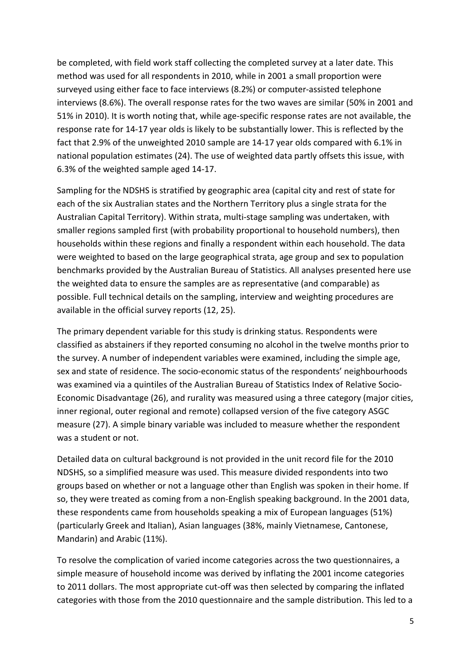be completed, with field work staff collecting the completed survey at a later date. This method was used for all respondents in 2010, while in 2001 a small proportion were surveyed using either face to face interviews (8.2%) or computer-assisted telephone interviews (8.6%). The overall response rates for the two waves are similar (50% in 2001 and 51% in 2010). It is worth noting that, while age-specific response rates are not available, the response rate for 14-17 year olds is likely to be substantially lower. This is reflected by the fact that 2.9% of the unweighted 2010 sample are 14-17 year olds compared with 6.1% in national population estimates [\(24\)](#page-16-4). The use of weighted data partly offsets this issue, with 6.3% of the weighted sample aged 14-17.

Sampling for the NDSHS is stratified by geographic area (capital city and rest of state for each of the six Australian states and the Northern Territory plus a single strata for the Australian Capital Territory). Within strata, multi-stage sampling was undertaken, with smaller regions sampled first (with probability proportional to household numbers), then households within these regions and finally a respondent within each household. The data were weighted to based on the large geographical strata, age group and sex to population benchmarks provided by the Australian Bureau of Statistics. All analyses presented here use the weighted data to ensure the samples are as representative (and comparable) as possible. Full technical details on the sampling, interview and weighting procedures are available in the official survey reports [\(12,](#page-15-9) [25\)](#page-16-5).

The primary dependent variable for this study is drinking status. Respondents were classified as abstainers if they reported consuming no alcohol in the twelve months prior to the survey. A number of independent variables were examined, including the simple age, sex and state of residence. The socio-economic status of the respondents' neighbourhoods was examined via a quintiles of the Australian Bureau of Statistics Index of Relative Socio-Economic Disadvantage [\(26\)](#page-16-6), and rurality was measured using a three category (major cities, inner regional, outer regional and remote) collapsed version of the five category ASGC measure [\(27\)](#page-16-7). A simple binary variable was included to measure whether the respondent was a student or not.

Detailed data on cultural background is not provided in the unit record file for the 2010 NDSHS, so a simplified measure was used. This measure divided respondents into two groups based on whether or not a language other than English was spoken in their home. If so, they were treated as coming from a non-English speaking background. In the 2001 data, these respondents came from households speaking a mix of European languages (51%) (particularly Greek and Italian), Asian languages (38%, mainly Vietnamese, Cantonese, Mandarin) and Arabic (11%).

To resolve the complication of varied income categories across the two questionnaires, a simple measure of household income was derived by inflating the 2001 income categories to 2011 dollars. The most appropriate cut-off was then selected by comparing the inflated categories with those from the 2010 questionnaire and the sample distribution. This led to a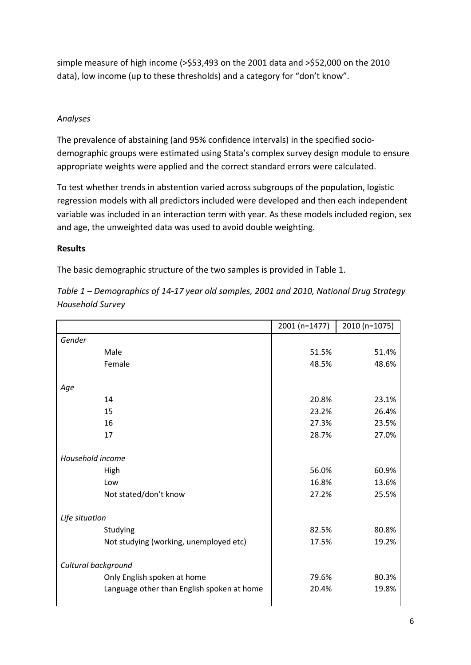simple measure of high income (>\$53,493 on the 2001 data and >\$52,000 on the 2010 data), low income (up to these thresholds) and a category for "don't know".

## *Analyses*

The prevalence of abstaining (and 95% confidence intervals) in the specified sociodemographic groups were estimated using Stata's complex survey design module to ensure appropriate weights were applied and the correct standard errors were calculated.

To test whether trends in abstention varied across subgroups of the population, logistic regression models with all predictors included were developed and then each independent variable was included in an interaction term with year. As these models included region, sex and age, the unweighted data was used to avoid double weighting.

## **Results**

The basic demographic structure of the two samples is provided in Table 1.

|                                            | 2001 (n=1477) | 2010 (n=1075) |
|--------------------------------------------|---------------|---------------|
| Gender                                     |               |               |
| Male                                       | 51.5%         | 51.4%         |
| Female                                     | 48.5%         | 48.6%         |
|                                            |               |               |
| Age                                        |               |               |
| 14                                         | 20.8%         | 23.1%         |
| 15                                         | 23.2%         | 26.4%         |
| 16                                         | 27.3%         | 23.5%         |
| 17                                         | 28.7%         | 27.0%         |
| Household income                           |               |               |
| High                                       | 56.0%         | 60.9%         |
| Low                                        | 16.8%         | 13.6%         |
| Not stated/don't know                      | 27.2%         | 25.5%         |
| Life situation                             |               |               |
| Studying                                   | 82.5%         | 80.8%         |
| Not studying (working, unemployed etc)     | 17.5%         | 19.2%         |
| Cultural background                        |               |               |
| Only English spoken at home                | 79.6%         | 80.3%         |
| Language other than English spoken at home | 20.4%         | 19.8%         |
|                                            |               |               |

*Table 1 – Demographics of 14-17 year old samples, 2001 and 2010, National Drug Strategy Household Survey*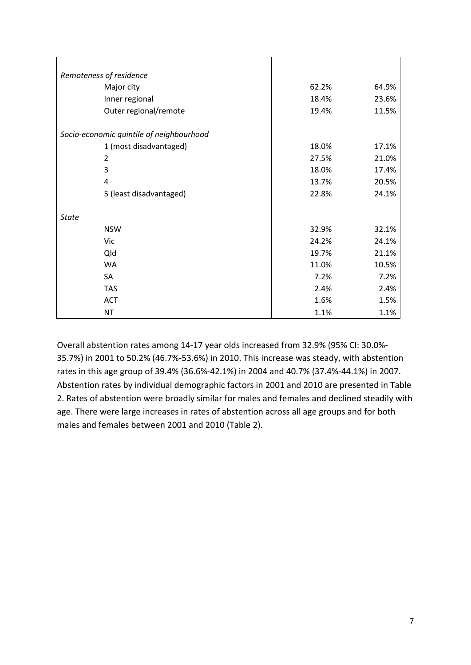| Remoteness of residence                  |       |       |
|------------------------------------------|-------|-------|
| Major city                               | 62.2% | 64.9% |
| Inner regional                           | 18.4% | 23.6% |
| Outer regional/remote                    | 19.4% | 11.5% |
| Socio-economic quintile of neighbourhood |       |       |
| 1 (most disadvantaged)                   | 18.0% | 17.1% |
| 2                                        | 27.5% | 21.0% |
| 3                                        | 18.0% | 17.4% |
| 4                                        | 13.7% | 20.5% |
| 5 (least disadvantaged)                  | 22.8% | 24.1% |
| <b>State</b>                             |       |       |
| <b>NSW</b>                               | 32.9% | 32.1% |
| Vic                                      | 24.2% | 24.1% |
| Qld                                      | 19.7% | 21.1% |
| <b>WA</b>                                | 11.0% | 10.5% |
| SA                                       | 7.2%  | 7.2%  |
| <b>TAS</b>                               | 2.4%  | 2.4%  |
| ACT                                      | 1.6%  | 1.5%  |
| <b>NT</b>                                | 1.1%  | 1.1%  |

Overall abstention rates among 14-17 year olds increased from 32.9% (95% CI: 30.0%- 35.7%) in 2001 to 50.2% (46.7%-53.6%) in 2010. This increase was steady, with abstention rates in this age group of 39.4% (36.6%-42.1%) in 2004 and 40.7% (37.4%-44.1%) in 2007. Abstention rates by individual demographic factors in 2001 and 2010 are presented in Table 2. Rates of abstention were broadly similar for males and females and declined steadily with age. There were large increases in rates of abstention across all age groups and for both males and females between 2001 and 2010 (Table 2).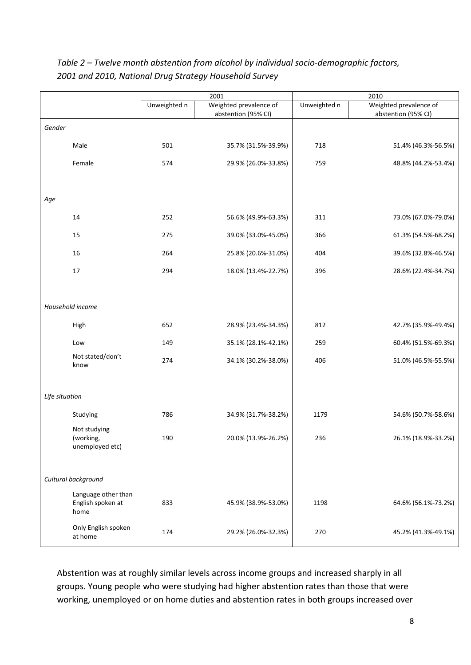|                                |              | 2001                                          | 2010         |                                               |
|--------------------------------|--------------|-----------------------------------------------|--------------|-----------------------------------------------|
|                                | Unweighted n | Weighted prevalence of<br>abstention (95% CI) | Unweighted n | Weighted prevalence of<br>abstention (95% CI) |
| Gender                         |              |                                               |              |                                               |
| Male                           | 501          | 35.7% (31.5%-39.9%)                           | 718          | 51.4% (46.3%-56.5%)                           |
| Female                         | 574          | 29.9% (26.0%-33.8%)                           | 759          | 48.8% (44.2%-53.4%)                           |
|                                |              |                                               |              |                                               |
| Age                            |              |                                               |              |                                               |
| 14                             | 252          | 56.6% (49.9%-63.3%)                           | 311          | 73.0% (67.0%-79.0%)                           |
| 15                             | 275          | 39.0% (33.0%-45.0%)                           | 366          | 61.3% (54.5%-68.2%)                           |
| 16                             | 264          | 25.8% (20.6%-31.0%)                           | 404          | 39.6% (32.8%-46.5%)                           |
| 17                             | 294          | 18.0% (13.4%-22.7%)                           | 396          | 28.6% (22.4%-34.7%)                           |
|                                |              |                                               |              |                                               |
| Household income               |              |                                               |              |                                               |
| High                           | 652          | 28.9% (23.4%-34.3%)                           | 812          | 42.7% (35.9%-49.4%)                           |
| Low                            | 149          | 35.1% (28.1%-42.1%)                           | 259          | 60.4% (51.5%-69.3%)                           |
| Not stated/don't<br>know       | 274          | 34.1% (30.2%-38.0%)                           | 406          | 51.0% (46.5%-55.5%)                           |
|                                |              |                                               |              |                                               |
| Life situation                 |              |                                               |              |                                               |
| Studying                       | 786          | 34.9% (31.7%-38.2%)                           | 1179         | 54.6% (50.7%-58.6%)                           |
| Not studying<br>(working,      | 190          | 20.0% (13.9%-26.2%)                           | 236          | 26.1% (18.9%-33.2%)                           |
| unemployed etc)                |              |                                               |              |                                               |
| Cultural background            |              |                                               |              |                                               |
| Language other than            |              |                                               |              |                                               |
| English spoken at<br>home      | 833          | 45.9% (38.9%-53.0%)                           | 1198         | 64.6% (56.1%-73.2%)                           |
| Only English spoken<br>at home | 174          | 29.2% (26.0%-32.3%)                           | 270          | 45.2% (41.3%-49.1%)                           |

*Table 2 – Twelve month abstention from alcohol by individual socio-demographic factors, 2001 and 2010, National Drug Strategy Household Survey*

Abstention was at roughly similar levels across income groups and increased sharply in all groups. Young people who were studying had higher abstention rates than those that were working, unemployed or on home duties and abstention rates in both groups increased over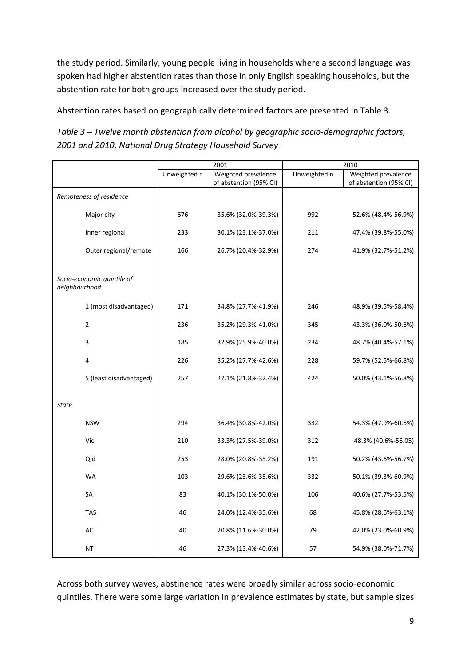the study period. Similarly, young people living in households where a second language was spoken had higher abstention rates than those in only English speaking households, but the abstention rate for both groups increased over the study period.

Abstention rates based on geographically determined factors are presented in Table 3.

*Table 3 – Twelve month abstention from alcohol by geographic socio-demographic factors, 2001 and 2010, National Drug Strategy Household Survey*

|                                             | 2001         |                        | 2010         |                        |
|---------------------------------------------|--------------|------------------------|--------------|------------------------|
|                                             | Unweighted n | Weighted prevalence    | Unweighted n | Weighted prevalence    |
|                                             |              | of abstention (95% CI) |              | of abstention (95% CI) |
| Remoteness of residence                     |              |                        |              |                        |
| Major city                                  | 676          | 35.6% (32.0%-39.3%)    | 992          | 52.6% (48.4%-56.9%)    |
| Inner regional                              | 233          | 30.1% (23.1%-37.0%)    | 211          | 47.4% (39.8%-55.0%)    |
| Outer regional/remote                       | 166          | 26.7% (20.4%-32.9%)    | 274          | 41.9% (32.7%-51.2%)    |
| Socio-economic quintile of<br>neighbourhood |              |                        |              |                        |
| 1 (most disadvantaged)                      | 171          | 34.8% (27.7%-41.9%)    | 246          | 48.9% (39.5%-58.4%)    |
| $\overline{2}$                              | 236          | 35.2% (29.3%-41.0%)    | 345          | 43.3% (36.0%-50.6%)    |
| $\overline{\mathbf{3}}$                     | 185          | 32.9% (25.9%-40.0%)    | 234          | 48.7% (40.4%-57.1%)    |
| 4                                           | 226          | 35.2% (27.7%-42.6%)    | 228          | 59.7% (52.5%-66.8%)    |
| 5 (least disadvantaged)                     | 257          | 27.1% (21.8%-32.4%)    | 424          | 50.0% (43.1%-56.8%)    |
| <b>State</b>                                |              |                        |              |                        |
| <b>NSW</b>                                  | 294          | 36.4% (30.8%-42.0%)    | 332          | 54.3% (47.9%-60.6%)    |
| Vic                                         | 210          | 33.3% (27.5%-39.0%)    | 312          | 48.3% (40.6%-56.05)    |
| Qld                                         | 253          | 28.0% (20.8%-35.2%)    | 191          | 50.2% (43.6%-56.7%)    |
| WA                                          | 103          | 29.6% (23.6%-35.6%)    | 332          | 50.1% (39.3%-60.9%)    |
| SA                                          | 83           | 40.1% (30.1%-50.0%)    | 106          | 40.6% (27.7%-53.5%)    |
| <b>TAS</b>                                  | 46           | 24.0% (12.4%-35.6%)    | 68           | 45.8% (28.6%-63.1%)    |
| <b>ACT</b>                                  | 40           | 20.8% (11.6%-30.0%)    | 79           | 42.0% (23.0%-60.9%)    |
| <b>NT</b>                                   | 46           | 27.3% (13.4%-40.6%)    | 57           | 54.9% (38.0%-71.7%)    |

Across both survey waves, abstinence rates were broadly similar across socio-economic quintiles. There were some large variation in prevalence estimates by state, but sample sizes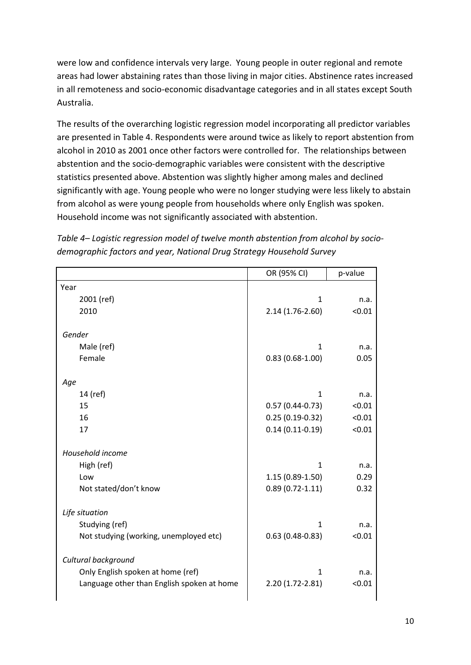were low and confidence intervals very large. Young people in outer regional and remote areas had lower abstaining rates than those living in major cities. Abstinence rates increased in all remoteness and socio-economic disadvantage categories and in all states except South Australia.

The results of the overarching logistic regression model incorporating all predictor variables are presented in Table 4. Respondents were around twice as likely to report abstention from alcohol in 2010 as 2001 once other factors were controlled for. The relationships between abstention and the socio-demographic variables were consistent with the descriptive statistics presented above. Abstention was slightly higher among males and declined significantly with age. Young people who were no longer studying were less likely to abstain from alcohol as were young people from households where only English was spoken. Household income was not significantly associated with abstention.

*Table 4– Logistic regression model of twelve month abstention from alcohol by sociodemographic factors and year, National Drug Strategy Household Survey*

|                                            | OR (95% CI)         | p-value |
|--------------------------------------------|---------------------|---------|
| Year                                       |                     |         |
| 2001 (ref)                                 | 1                   | n.a.    |
| 2010                                       | 2.14 (1.76-2.60)    | < 0.01  |
| Gender                                     |                     |         |
| Male (ref)                                 | 1                   | n.a.    |
| Female                                     | $0.83(0.68-1.00)$   | 0.05    |
| Age                                        |                     |         |
| 14 (ref)                                   | $\mathbf{1}$        | n.a.    |
| 15                                         | $0.57(0.44-0.73)$   | < 0.01  |
| 16                                         | $0.25(0.19-0.32)$   | < 0.01  |
| 17                                         | $0.14(0.11-0.19)$   | < 0.01  |
| Household income                           |                     |         |
| High (ref)                                 | $\mathbf{1}$        | n.a.    |
| Low                                        | $1.15(0.89-1.50)$   | 0.29    |
| Not stated/don't know                      | $0.89(0.72 - 1.11)$ | 0.32    |
| Life situation                             |                     |         |
| Studying (ref)                             | 1                   | n.a.    |
| Not studying (working, unemployed etc)     | $0.63(0.48-0.83)$   | < 0.01  |
| Cultural background                        |                     |         |
| Only English spoken at home (ref)          | $\mathbf{1}$        | n.a.    |
| Language other than English spoken at home | 2.20 (1.72-2.81)    | < 0.01  |
|                                            |                     |         |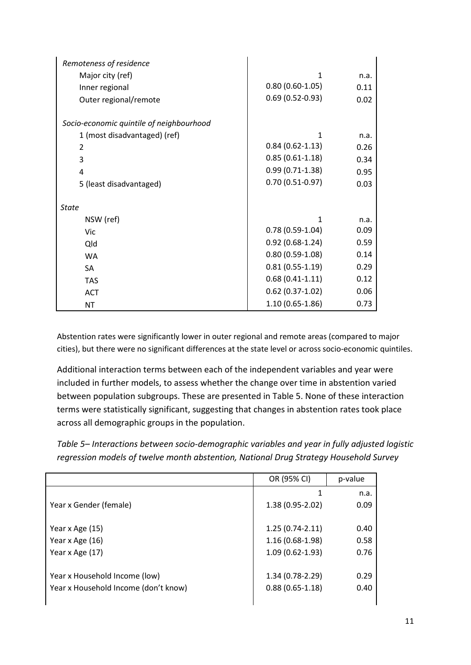| Remoteness of residence                  |                     |      |
|------------------------------------------|---------------------|------|
| Major city (ref)                         | 1                   | n.a. |
| Inner regional                           | $0.80(0.60-1.05)$   | 0.11 |
| Outer regional/remote                    | $0.69(0.52-0.93)$   | 0.02 |
|                                          |                     |      |
| Socio-economic quintile of neighbourhood |                     |      |
| 1 (most disadvantaged) (ref)             | 1                   | n.a. |
| 2                                        | $0.84(0.62 - 1.13)$ | 0.26 |
| 3                                        | $0.85(0.61-1.18)$   | 0.34 |
| 4                                        | $0.99(0.71-1.38)$   | 0.95 |
| 5 (least disadvantaged)                  | $0.70(0.51-0.97)$   | 0.03 |
| <b>State</b>                             |                     |      |
| NSW (ref)                                | 1                   | n.a. |
| Vic                                      | $0.78(0.59-1.04)$   | 0.09 |
| Qld                                      | $0.92(0.68-1.24)$   | 0.59 |
| <b>WA</b>                                | $0.80(0.59-1.08)$   | 0.14 |
| <b>SA</b>                                | $0.81(0.55-1.19)$   | 0.29 |
| <b>TAS</b>                               | $0.68(0.41-1.11)$   | 0.12 |
| <b>ACT</b>                               | $0.62(0.37-1.02)$   | 0.06 |
| <b>NT</b>                                | $1.10(0.65 - 1.86)$ | 0.73 |

Abstention rates were significantly lower in outer regional and remote areas (compared to major cities), but there were no significant differences at the state level or across socio-economic quintiles.

Additional interaction terms between each of the independent variables and year were included in further models, to assess whether the change over time in abstention varied between population subgroups. These are presented in Table 5. None of these interaction terms were statistically significant, suggesting that changes in abstention rates took place across all demographic groups in the population.

*Table 5– Interactions between socio-demographic variables and year in fully adjusted logistic regression models of twelve month abstention, National Drug Strategy Household Survey*

|                                      | OR (95% CI)         | p-value |
|--------------------------------------|---------------------|---------|
|                                      |                     | n.a.    |
| Year x Gender (female)               | $1.38(0.95 - 2.02)$ | 0.09    |
|                                      |                     |         |
| Year x Age (15)                      | $1.25(0.74-2.11)$   | 0.40    |
| Year x Age (16)                      | $1.16(0.68-1.98)$   | 0.58    |
| Year x Age (17)                      | $1.09(0.62 - 1.93)$ | 0.76    |
|                                      |                     |         |
| Year x Household Income (low)        | 1.34 (0.78-2.29)    | 0.29    |
| Year x Household Income (don't know) | $0.88(0.65-1.18)$   | 0.40    |
|                                      |                     |         |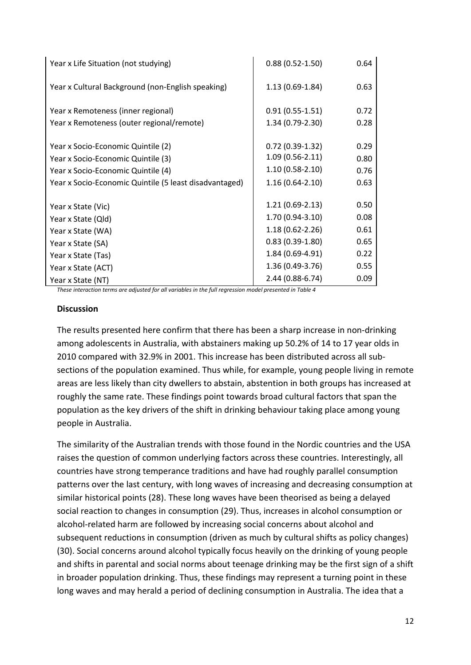| Year x Life Situation (not studying)                   | $0.88(0.52 - 1.50)$ | 0.64 |
|--------------------------------------------------------|---------------------|------|
| Year x Cultural Background (non-English speaking)      | $1.13(0.69-1.84)$   | 0.63 |
| Year x Remoteness (inner regional)                     | $0.91(0.55-1.51)$   | 0.72 |
| Year x Remoteness (outer regional/remote)              | 1.34 (0.79-2.30)    | 0.28 |
|                                                        |                     |      |
| Year x Socio-Economic Quintile (2)                     | $0.72(0.39-1.32)$   | 0.29 |
| Year x Socio-Economic Quintile (3)                     | $1.09(0.56-2.11)$   | 0.80 |
| Year x Socio-Economic Quintile (4)                     | $1.10(0.58-2.10)$   | 0.76 |
| Year x Socio-Economic Quintile (5 least disadvantaged) | $1.16(0.64-2.10)$   | 0.63 |
|                                                        |                     |      |
| Year x State (Vic)                                     | $1.21(0.69-2.13)$   | 0.50 |
| Year x State (Qld)                                     | $1.70(0.94 - 3.10)$ | 0.08 |
| Year x State (WA)                                      | $1.18(0.62 - 2.26)$ | 0.61 |
| Year x State (SA)                                      | $0.83(0.39-1.80)$   | 0.65 |
| Year x State (Tas)                                     | 1.84 (0.69-4.91)    | 0.22 |
| Year x State (ACT)                                     | $1.36(0.49-3.76)$   | 0.55 |
| Year x State (NT)                                      | 2.44 (0.88-6.74)    | 0.09 |

*These interaction terms are adjusted for all variables in the full regression model presented in Table 4*

#### **Discussion**

The results presented here confirm that there has been a sharp increase in non-drinking among adolescents in Australia, with abstainers making up 50.2% of 14 to 17 year olds in 2010 compared with 32.9% in 2001. This increase has been distributed across all subsections of the population examined. Thus while, for example, young people living in remote areas are less likely than city dwellers to abstain, abstention in both groups has increased at roughly the same rate. These findings point towards broad cultural factors that span the population as the key drivers of the shift in drinking behaviour taking place among young people in Australia.

The similarity of the Australian trends with those found in the Nordic countries and the USA raises the question of common underlying factors across these countries. Interestingly, all countries have strong temperance traditions and have had roughly parallel consumption patterns over the last century, with long waves of increasing and decreasing consumption at similar historical points [\(28\)](#page-16-8). These long waves have been theorised as being a delayed social reaction to changes in consumption [\(29\)](#page-16-9). Thus, increases in alcohol consumption or alcohol-related harm are followed by increasing social concerns about alcohol and subsequent reductions in consumption (driven as much by cultural shifts as policy changes) [\(30\)](#page-16-10). Social concerns around alcohol typically focus heavily on the drinking of young people and shifts in parental and social norms about teenage drinking may be the first sign of a shift in broader population drinking. Thus, these findings may represent a turning point in these long waves and may herald a period of declining consumption in Australia. The idea that a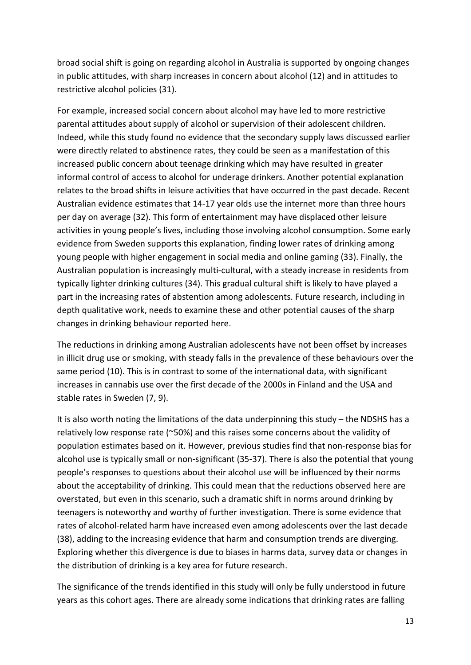broad social shift is going on regarding alcohol in Australia is supported by ongoing changes in public attitudes, with sharp increases in concern about alcohol [\(12\)](#page-15-9) and in attitudes to restrictive alcohol policies [\(31\)](#page-16-11).

For example, increased social concern about alcohol may have led to more restrictive parental attitudes about supply of alcohol or supervision of their adolescent children. Indeed, while this study found no evidence that the secondary supply laws discussed earlier were directly related to abstinence rates, they could be seen as a manifestation of this increased public concern about teenage drinking which may have resulted in greater informal control of access to alcohol for underage drinkers. Another potential explanation relates to the broad shifts in leisure activities that have occurred in the past decade. Recent Australian evidence estimates that 14-17 year olds use the internet more than three hours per day on average [\(32\)](#page-16-12). This form of entertainment may have displaced other leisure activities in young people's lives, including those involving alcohol consumption. Some early evidence from Sweden supports this explanation, finding lower rates of drinking among young people with higher engagement in social media and online gaming [\(33\)](#page-16-13). Finally, the Australian population is increasingly multi-cultural, with a steady increase in residents from typically lighter drinking cultures [\(34\)](#page-16-14). This gradual cultural shift is likely to have played a part in the increasing rates of abstention among adolescents. Future research, including in depth qualitative work, needs to examine these and other potential causes of the sharp changes in drinking behaviour reported here.

The reductions in drinking among Australian adolescents have not been offset by increases in illicit drug use or smoking, with steady falls in the prevalence of these behaviours over the same period [\(10\)](#page-15-7). This is in contrast to some of the international data, with significant increases in cannabis use over the first decade of the 2000s in Finland and the USA and stable rates in Sweden [\(7,](#page-15-4) [9\)](#page-15-6).

It is also worth noting the limitations of the data underpinning this study – the NDSHS has a relatively low response rate (~50%) and this raises some concerns about the validity of population estimates based on it. However, previous studies find that non-response bias for alcohol use is typically small or non-significant [\(35-37\)](#page-16-15). There is also the potential that young people's responses to questions about their alcohol use will be influenced by their norms about the acceptability of drinking. This could mean that the reductions observed here are overstated, but even in this scenario, such a dramatic shift in norms around drinking by teenagers is noteworthy and worthy of further investigation. There is some evidence that rates of alcohol-related harm have increased even among adolescents over the last decade [\(38\)](#page-16-16), adding to the increasing evidence that harm and consumption trends are diverging. Exploring whether this divergence is due to biases in harms data, survey data or changes in the distribution of drinking is a key area for future research.

The significance of the trends identified in this study will only be fully understood in future years as this cohort ages. There are already some indications that drinking rates are falling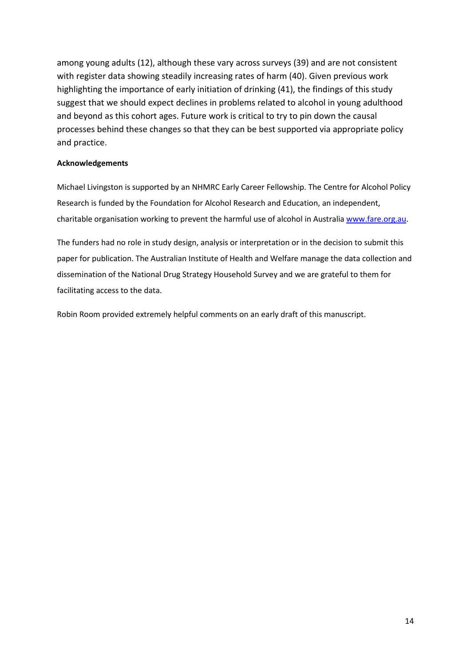among young adults [\(12\)](#page-15-9), although these vary across surveys [\(39\)](#page-16-17) and are not consistent with register data showing steadily increasing rates of harm [\(40\)](#page-17-0). Given previous work highlighting the importance of early initiation of drinking [\(41\)](#page-17-1), the findings of this study suggest that we should expect declines in problems related to alcohol in young adulthood and beyond as this cohort ages. Future work is critical to try to pin down the causal processes behind these changes so that they can be best supported via appropriate policy and practice.

#### **Acknowledgements**

Michael Livingston is supported by an NHMRC Early Career Fellowship. The Centre for Alcohol Policy Research is funded by the Foundation for Alcohol Research and Education, an independent, charitable organisation working to prevent the harmful use of alcohol in Australia [www.fare.org.au.](http://www.fare.org.au/)

The funders had no role in study design, analysis or interpretation or in the decision to submit this paper for publication. The Australian Institute of Health and Welfare manage the data collection and dissemination of the National Drug Strategy Household Survey and we are grateful to them for facilitating access to the data.

Robin Room provided extremely helpful comments on an early draft of this manuscript.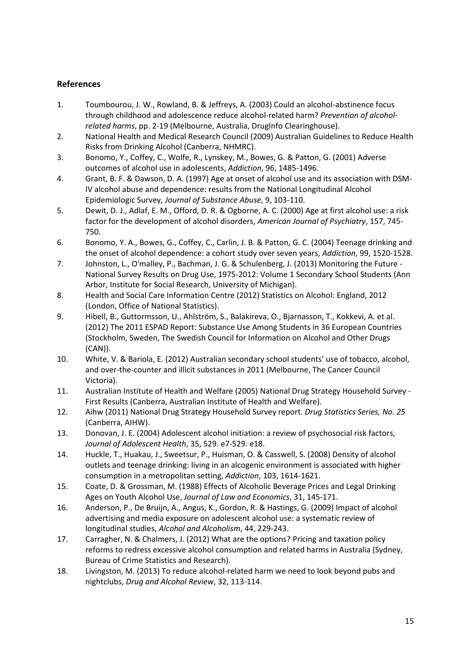## **References**

- <span id="page-15-0"></span>1. Toumbourou, J. W., Rowland, B. & Jeffreys, A. (2003) Could an alcohol-abstinence focus through childhood and adolescence reduce alcohol-related harm? *Prevention of alcoholrelated harms*, pp. 2-19 (Melbourne, Australia, DrugInfo Clearinghouse).
- <span id="page-15-1"></span>2. National Health and Medical Research Council (2009) Australian Guidelines to Reduce Health Risks from Drinking Alcohol (Canberra, NHMRC).
- <span id="page-15-2"></span>3. Bonomo, Y., Coffey, C., Wolfe, R., Lynskey, M., Bowes, G. & Patton, G. (2001) Adverse outcomes of alcohol use in adolescents, *Addiction*, 96, 1485-1496.
- <span id="page-15-3"></span>4. Grant, B. F. & Dawson, D. A. (1997) Age at onset of alcohol use and its association with DSM-IV alcohol abuse and dependence: results from the National Longitudinal Alcohol Epidemiologic Survey, *Journal of Substance Abuse*, 9, 103-110.
- 5. Dewit, D. J., Adlaf, E. M., Offord, D. R. & Ogborne, A. C. (2000) Age at first alcohol use: a risk factor for the development of alcohol disorders, *American Journal of Psychiatry*, 157, 745- 750.
- 6. Bonomo, Y. A., Bowes, G., Coffey, C., Carlin, J. B. & Patton, G. C. (2004) Teenage drinking and the onset of alcohol dependence: a cohort study over seven years, *Addiction*, 99, 1520-1528.
- <span id="page-15-4"></span>7. Johnston, L., O'malley, P., Bachman, J. G. & Schulenberg, J. (2013) Monitoring the Future - National Survey Results on Drug Use, 1975-2012: Volume 1 Secondary School Students (Ann Arbor, Institute for Social Research, University of Michigan).
- <span id="page-15-5"></span>8. Health and Social Care Information Centre (2012) Statistics on Alcohol: England, 2012 (London, Office of National Statistics).
- <span id="page-15-6"></span>9. Hibell, B., Guttormsson, U., Ahlström, S., Balakireva, O., Bjarnasson, T., Kokkevi, A. et al. (2012) The 2011 ESPAD Report: Substance Use Among Students in 36 European Countries (Stockholm, Sweden, The Swedish Council for Information on Alcohol and Other Drugs (CAN)).
- <span id="page-15-7"></span>10. White, V. & Bariola, E. (2012) Australian secondary school students' use of tobacco, alcohol, and over-the-counter and illicit substances in 2011 (Melbourne, The Cancer Council Victoria).
- <span id="page-15-8"></span>11. Australian Institute of Health and Welfare (2005) National Drug Strategy Household Survey - First Results (Canberra, Australian Institute of Health and Welfare).
- <span id="page-15-9"></span>12. Aihw (2011) National Drug Strategy Household Survey report. *Drug Statistics Series, No. 25* (Canberra, AIHW).
- <span id="page-15-10"></span>13. Donovan, J. E. (2004) Adolescent alcohol initiation: a review of psychosocial risk factors, *Journal of Adolescent Health*, 35, 529. e7-529. e18.
- <span id="page-15-11"></span>14. Huckle, T., Huakau, J., Sweetsur, P., Huisman, O. & Casswell, S. (2008) Density of alcohol outlets and teenage drinking: living in an alcogenic environment is associated with higher consumption in a metropolitan setting, *Addiction*, 103, 1614-1621.
- 15. Coate, D. & Grossman, M. (1988) Effects of Alcoholic Beverage Prices and Legal Drinking Ages on Youth Alcohol Use, *Journal of Law and Economics*, 31, 145-171.
- 16. Anderson, P., De Bruijn, A., Angus, K., Gordon, R. & Hastings, G. (2009) Impact of alcohol advertising and media exposure on adolescent alcohol use: a systematic review of longitudinal studies, *Alcohol and Alcoholism*, 44, 229-243.
- <span id="page-15-12"></span>17. Carragher, N. & Chalmers, J. (2012) What are the options? Pricing and taxation policy reforms to redress excessive alcohol consumption and related harms in Australia (Sydney, Bureau of Crime Statistics and Research).
- 18. Livingston, M. (2013) To reduce alcohol-related harm we need to look beyond pubs and nightclubs, *Drug and Alcohol Review*, 32, 113-114.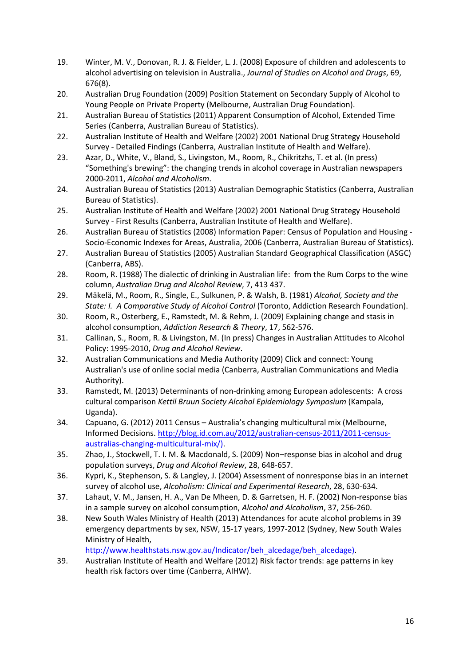- 19. Winter, M. V., Donovan, R. J. & Fielder, L. J. (2008) Exposure of children and adolescents to alcohol advertising on television in Australia., *Journal of Studies on Alcohol and Drugs*, 69, 676(8).
- <span id="page-16-0"></span>20. Australian Drug Foundation (2009) Position Statement on Secondary Supply of Alcohol to Young People on Private Property (Melbourne, Australian Drug Foundation).
- <span id="page-16-1"></span>21. Australian Bureau of Statistics (2011) Apparent Consumption of Alcohol, Extended Time Series (Canberra, Australian Bureau of Statistics).
- <span id="page-16-2"></span>22. Australian Institute of Health and Welfare (2002) 2001 National Drug Strategy Household Survey - Detailed Findings (Canberra, Australian Institute of Health and Welfare).
- <span id="page-16-3"></span>23. Azar, D., White, V., Bland, S., Livingston, M., Room, R., Chikritzhs, T. et al. (In press) "Something's brewing": the changing trends in alcohol coverage in Australian newspapers 2000-2011, *Alcohol and Alcoholism*.
- <span id="page-16-4"></span>24. Australian Bureau of Statistics (2013) Australian Demographic Statistics (Canberra, Australian Bureau of Statistics).
- <span id="page-16-5"></span>25. Australian Institute of Health and Welfare (2002) 2001 National Drug Strategy Household Survey - First Results (Canberra, Australian Institute of Health and Welfare).
- <span id="page-16-6"></span>26. Australian Bureau of Statistics (2008) Information Paper: Census of Population and Housing - Socio-Economic Indexes for Areas, Australia, 2006 (Canberra, Australian Bureau of Statistics).
- <span id="page-16-7"></span>27. Australian Bureau of Statistics (2005) Australian Standard Geographical Classification (ASGC) (Canberra, ABS).
- <span id="page-16-8"></span>28. Room, R. (1988) The dialectic of drinking in Australian life: from the Rum Corps to the wine column, *Australian Drug and Alcohol Review*, 7, 413 437.
- <span id="page-16-9"></span>29. Mäkelä, M., Room, R., Single, E., Sulkunen, P. & Walsh, B. (1981) *Alcohol, Society and the State: I. A Comparative Study of Alcohol Control* (Toronto, Addiction Research Foundation).
- <span id="page-16-10"></span>30. Room, R., Osterberg, E., Ramstedt, M. & Rehm, J. (2009) Explaining change and stasis in alcohol consumption, *Addiction Research & Theory*, 17, 562-576.
- <span id="page-16-11"></span>31. Callinan, S., Room, R. & Livingston, M. (In press) Changes in Australian Attitudes to Alcohol Policy: 1995-2010, *Drug and Alcohol Review*.
- <span id="page-16-12"></span>32. Australian Communications and Media Authority (2009) Click and connect: Young Australian's use of online social media (Canberra, Australian Communications and Media Authority).
- <span id="page-16-13"></span>33. Ramstedt, M. (2013) Determinants of non-drinking among European adolescents: A cross cultural comparison *Kettil Bruun Society Alcohol Epidemiology Symposium* (Kampala, Uganda).
- <span id="page-16-14"></span>34. Capuano, G. (2012) 2011 Census – Australia's changing multicultural mix (Melbourne, Informed Decisions[. http://blog.id.com.au/2012/australian-census-2011/2011-census](http://blog.id.com.au/2012/australian-census-2011/2011-census-australias-changing-multicultural-mix/))[australias-changing-multicultural-mix/\).](http://blog.id.com.au/2012/australian-census-2011/2011-census-australias-changing-multicultural-mix/))
- <span id="page-16-15"></span>35. Zhao, J., Stockwell, T. I. M. & Macdonald, S. (2009) Non–response bias in alcohol and drug population surveys, *Drug and Alcohol Review*, 28, 648-657.
- 36. Kypri, K., Stephenson, S. & Langley, J. (2004) Assessment of nonresponse bias in an internet survey of alcohol use, *Alcoholism: Clinical and Experimental Research*, 28, 630-634.
- 37. Lahaut, V. M., Jansen, H. A., Van De Mheen, D. & Garretsen, H. F. (2002) Non-response bias in a sample survey on alcohol consumption, *Alcohol and Alcoholism*, 37, 256-260.
- <span id="page-16-16"></span>38. New South Wales Ministry of Health (2013) Attendances for acute alcohol problems in 39 emergency departments by sex, NSW, 15-17 years, 1997-2012 (Sydney, New South Wales Ministry of Health,

[http://www.healthstats.nsw.gov.au/Indicator/beh\\_alcedage/beh\\_alcedage\).](http://www.healthstats.nsw.gov.au/Indicator/beh_alcedage/beh_alcedage))

<span id="page-16-17"></span>39. Australian Institute of Health and Welfare (2012) Risk factor trends: age patterns in key health risk factors over time (Canberra, AIHW).